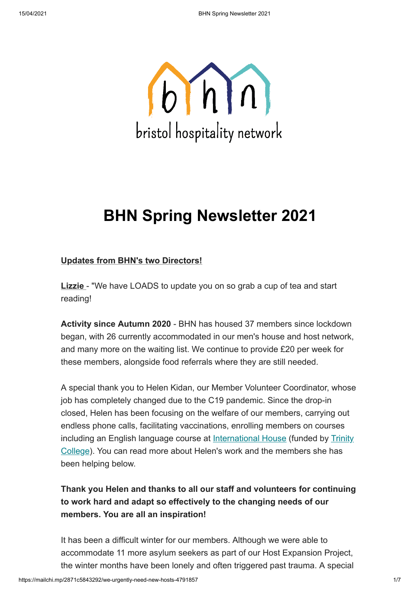

# **BHN Spring Newsletter 2021**

### **Updates from BHN's two Directors!**

**Lizzie** - "We have LOADS to update you on so grab a cup of tea and start reading!

**Activity since Autumn 2020** - BHN has housed 37 members since lockdown began, with 26 currently accommodated in our men's house and host network, and many more on the waiting list. We continue to provide £20 per week for these members, alongside food referrals where they are still needed.

A special thank you to Helen Kidan, our Member Volunteer Coordinator, whose job has completely changed due to the C19 pandemic. Since the drop-in closed, Helen has been focusing on the welfare of our members, carrying out endless phone calls, facilitating vaccinations, enrolling members on courses [including an English language course at I](https://www.trinitycollege.com/local-trinity/UK/english-language/language-access-fund)[nternational Hous](https://www.ihbristol.com/)[e \(funded by Trinity](https://www.trinitycollege.com/local-trinity/UK/english-language/language-access-fund) College). You can read more about Helen's work and the members she has been helping below.

## **Thank you Helen and thanks to all our staff and volunteers for continuing to work hard and adapt so effectively to the changing needs of our members. You are all an inspiration!**

It has been a difficult winter for our members. Although we were able to accommodate 11 more asylum seekers as part of our Host Expansion Project, the winter months have been lonely and often triggered past trauma. A special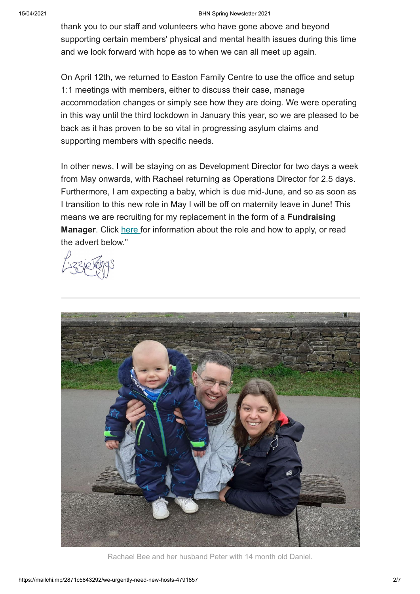#### 15/04/2021 BHN Spring Newsletter 2021

thank you to our staff and volunteers who have gone above and beyond supporting certain members' physical and mental health issues during this time and we look forward with hope as to when we can all meet up again.

On April 12th, we returned to Easton Family Centre to use the office and setup 1:1 meetings with members, either to discuss their case, manage accommodation changes or simply see how they are doing. We were operating in this way until the third lockdown in January this year, so we are pleased to be back as it has proven to be so vital in progressing asylum claims and supporting members with specific needs.

In other news, I will be staying on as Development Director for two days a week from May onwards, with Rachael returning as Operations Director for 2.5 days. Furthermore, I am expecting a baby, which is due mid-June, and so as soon as I transition to this new role in May I will be off on maternity leave in June! This means we are recruiting for my replacement in the form of a **Fundraising Manager**. Click [here](https://www.bhn.org.uk/vacancies) for information about the role and how to apply, or read the advert below."



Rachael Bee and her husband Peter with 14 month old Daniel.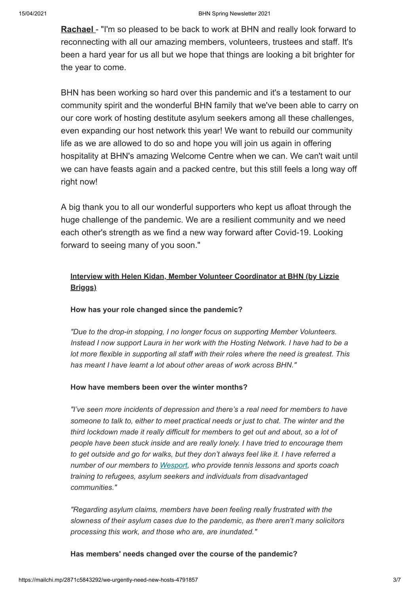**Rachael** - "I'm so pleased to be back to work at BHN and really look forward to reconnecting with all our amazing members, volunteers, trustees and staff. It's been a hard year for us all but we hope that things are looking a bit brighter for the year to come.

BHN has been working so hard over this pandemic and it's a testament to our community spirit and the wonderful BHN family that we've been able to carry on our core work of hosting destitute asylum seekers among all these challenges, even expanding our host network this year! We want to rebuild our community life as we are allowed to do so and hope you will join us again in offering hospitality at BHN's amazing Welcome Centre when we can. We can't wait until we can have feasts again and a packed centre, but this still feels a long way off right now!

A big thank you to all our wonderful supporters who kept us afloat through the huge challenge of the pandemic. We are a resilient community and we need each other's strength as we find a new way forward after Covid-19. Looking forward to seeing many of you soon."

### **Interview with Helen Kidan, Member Volunteer Coordinator at BHN (by Lizzie Briggs)**

#### **How has your role changed since the pandemic?**

*"Due to the drop-in stopping, I no longer focus on supporting Member Volunteers. Instead I now support Laura in her work with the Hosting Network. I have had to be a lot more flexible in supporting all staff with their roles where the need is greatest. This has meant I have learnt a lot about other areas of work across BHN."*

#### **How have members been over the winter months?**

*"I've seen more incidents of depression and there's a real need for members to have someone to talk to, either to meet practical needs or just to chat. The winter and the third lockdown made it really difficult for members to get out and about, so a lot of people have been stuck inside and are really lonely. I have tried to encourage them to get outside and go for walks, but they don't always feel like it. I have referred a number of our members to [Wesport](https://www.wesport.org.uk/), who provide tennis lessons and sports coach training to refugees, asylum seekers and individuals from disadvantaged communities."*

*"Regarding asylum claims, members have been feeling really frustrated with the slowness of their asylum cases due to the pandemic, as there aren't many solicitors processing this work, and those who are, are inundated."* 

#### **Has members' needs changed over the course of the pandemic?**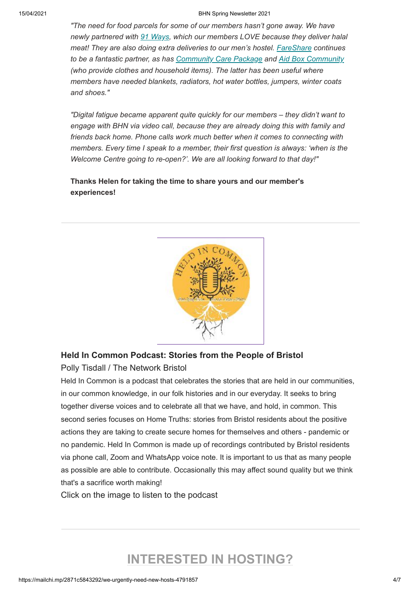#### 15/04/2021 BHN Spring Newsletter 2021

*"The need for food parcels for some of our members hasn't gone away. We have newly partnered with [91 Ways,](https://91ways.org/) which our members LOVE because they deliver halal meat! They are also doing extra deliveries to our men's hostel. [FareShare](https://fareshare.org.uk/) continues to be a fantastic partner, as has [Community Care Package](https://www.plougheaston.co.uk/vegbox) and [Aid Box Community](https://www.aidboxcommunity.co.uk/) (who provide clothes and household items). The latter has been useful where members have needed blankets, radiators, hot water bottles, jumpers, winter coats and shoes."*

*"Digital fatigue became apparent quite quickly for our members – they didn't want to engage with BHN via video call, because they are already doing this with family and friends back home. Phone calls work much better when it comes to connecting with members. Every time I speak to a member, their first question is always: 'when is the Welcome Centre going to re-open?'. We are all looking forward to that day!"*

#### **Thanks Helen for taking the time to share yours and our member's experiences!**



## **Held In Common Podcast: Stories from the People of Bristol** Polly Tisdall / The Network Bristol

Held In Common is a podcast that celebrates the stories that are held in our communities, in our common knowledge, in our folk histories and in our everyday. It seeks to bring together diverse voices and to celebrate all that we have, and hold, in common. This second series focuses on Home Truths: stories from Bristol residents about the positive actions they are taking to create secure homes for themselves and others - pandemic or no pandemic. Held In Common is made up of recordings contributed by Bristol residents via phone call, Zoom and WhatsApp voice note. It is important to us that as many people as possible are able to contribute. Occasionally this may affect sound quality but we think that's a sacrifice worth making!

Click on the image to listen to the podcast

## **INTERESTED IN HOSTING?**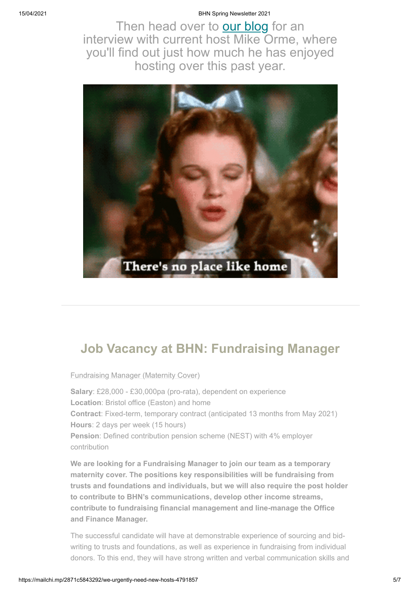#### 15/04/2021 BHN Spring Newsletter 2021

Then head over to **our blog** for an interview with current host Mike Orme, where you'll find out just how much he has enjoyed hosting over this past year.



## **Job Vacancy at BHN: Fundraising Manager**

Fundraising Manager (Maternity Cover)

**Salary**: £28,000 - £30,000pa (pro-rata), dependent on experience **Location**: Bristol office (Easton) and home **Contract**: Fixed-term, temporary contract (anticipated 13 months from May 2021) **Hours**: 2 days per week (15 hours) **Pension**: Defined contribution pension scheme (NEST) with 4% employer contribution

**We are looking for a Fundraising Manager to join our team as a temporary maternity cover. The positions key responsibilities will be fundraising from trusts and foundations and individuals, but we will also require the post holder to contribute to BHN's communications, develop other income streams, contribute to fundraising financial management and line-manage the Office and Finance Manager.**

The successful candidate will have at demonstrable experience of sourcing and bidwriting to trusts and foundations, as well as experience in fundraising from individual donors. To this end, they will have strong written and verbal communication skills and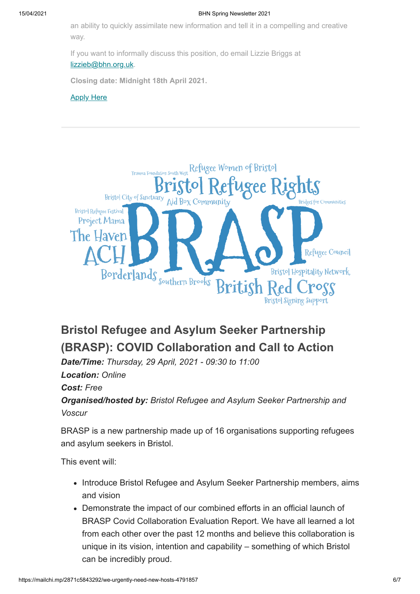an ability to quickly assimilate new information and tell it in a compelling and creative way.

If you want to informally discuss this position, do email Lizzie Briggs at [lizzieb@bhn.org.uk.](mailto:lizzieb@bhn.org.uk)

**Closing date: Midnight 18th April 2021.**

#### **[Apply Here](https://www.bhn.org.uk/vacancies)**



## **Bristol Refugee and Asylum Seeker Partnership (BRASP): COVID Collaboration and Call to Action**

*Date/Time: Thursday, 29 April, 2021 - 09:30 to 11:00 Location: Online Cost: Free Organised/hosted by: Bristol Refugee and Asylum Seeker Partnership and Voscur*

BRASP is a new partnership made up of 16 organisations supporting refugees and asylum seekers in Bristol.

This event will:

- Introduce Bristol Refugee and Asylum Seeker Partnership members, aims and vision
- Demonstrate the impact of our combined efforts in an official launch of BRASP Covid Collaboration Evaluation Report. We have all learned a lot from each other over the past 12 months and believe this collaboration is unique in its vision, intention and capability – something of which Bristol can be incredibly proud.